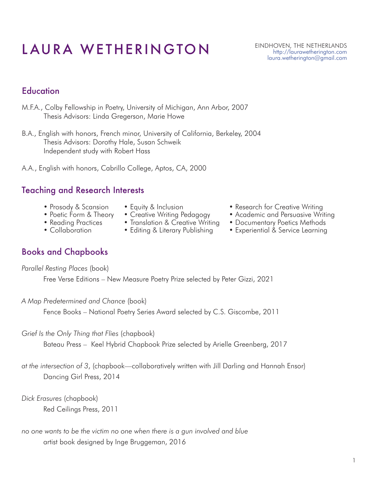# LAURA WETHERINGTON EINDHOVEN, THE NETHERLANDS

#### http://laurawetherington.com laura.wetherington@gmail.com

## **Education**

- M.F.A., Colby Fellowship in Poetry, University of Michigan, Ann Arbor, 2007 Thesis Advisors: Linda Gregerson, Marie Howe
- B.A., English with honors, French minor, University of California, Berkeley, 2004 Thesis Advisors: Dorothy Hale, Susan Schweik Independent study with Robert Hass
- A.A., English with honors, Cabrillo College, Aptos, CA, 2000

#### Teaching and Research Interests

- Prosody & Scansion
- Poetic Form & Theory
- Reading Practices
- Collaboration
- Equity & Inclusion
- Creative Writing Pedagogy
- Translation & Creative Writing
- Editing & Literary Publishing
- Research for Creative Writing
- Academic and Persuasive Writing
- Documentary Poetics Methods
- Experiential & Service Learning

#### Books and Chapbooks

*Parallel Resting Places* (book)

Free Verse Editions – New Measure Poetry Prize selected by Peter Gizzi, 2021

*A Map Predetermined and Chance* (book)

Fence Books – National Poetry Series Award selected by C.S. Giscombe, 2011

*Grief Is the Only Thing that Flies* (chapbook)

Bateau Press – Keel Hybrid Chapbook Prize selected by Arielle Greenberg, 2017

*at the intersection of 3*, (chapbook—collaboratively written with Jill Darling and Hannah Ensor) Dancing Girl Press, 2014

*Dick Erasures* (chapbook) Red Ceilings Press, 2011

*no one wants to be the victim no one when there is a gun involved and blue*  artist book designed by Inge Bruggeman, 2016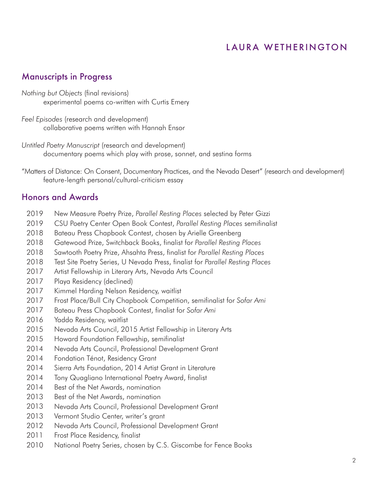#### Manuscripts in Progress

*Nothing but Objects* (final revisions) experimental poems co-written with Curtis Emery

*Feel Episodes* (research and development) collaborative poems written with Hannah Ensor

*Untitled Poetry Manuscript* (research and development) documentary poems which play with prose, sonnet, and sestina forms

"Matters of Distance: On Consent, Documentary Practices, and the Nevada Desert" (research and development) feature-length personal/cultural-criticism essay

#### Honors and Awards

- New Measure Poetry Prize, *Parallel Resting Places* selected by Peter Gizzi 2019
- CSU Poetry Center Open Book Contest, *Parallel Resting Places* semifinalist 2019
- Bateau Press Chapbook Contest, chosen by Arielle Greenberg 2018
- Gatewood Prize, Switchback Books, finalist for *Parallel Resting Places* 2018
- Sawtooth Poetry Prize, Ahsahta Press, finalist for *Parallel Resting Places* 2018
- Test Site Poetry Series, U Nevada Press, finalist for *Parallel Resting Places* 2018
- Artist Fellowship in Literary Arts, Nevada Arts Council 2017
- Playa Residency (declined) 2017
- Kimmel Harding Nelson Residency, waitlist 2017
- Frost Place/Bull City Chapbook Competition, semifinalist for *Sofar Ami* 2017
- Bateau Press Chapbook Contest, finalist for *Sofar Ami* 2017
- Yaddo Residency, waitlist 2016
- Nevada Arts Council, 2015 Artist Fellowship in Literary Arts 2015
- Howard Foundation Fellowship, semifinalist 2015
- Nevada Arts Council, Professional Development Grant 2014
- Fondation Ténot, Residency Grant 2014
- Sierra Arts Foundation, 2014 Artist Grant in Literature 2014
- Tony Quagliano International Poetry Award, finalist 2014
- Best of the Net Awards, nomination 2014
- Best of the Net Awards, nomination 2013
- Nevada Arts Council, Professional Development Grant 2013
- Vermont Studio Center, writer's grant 2013
- Nevada Arts Council, Professional Development Grant 2012
- Frost Place Residency, finalist 2011
- National Poetry Series, chosen by C.S. Giscombe for Fence Books 2010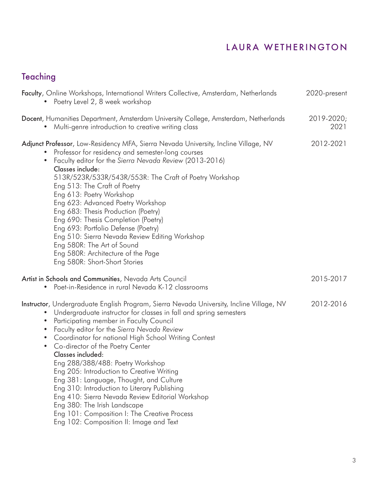## Teaching

| Faculty, Online Workshops, International Writers Collective, Amsterdam, Netherlands<br>Poetry Level 2, 8 week workshop                                                                                                                                                                                                                                                                                                                                                                                                                                                                                                                                                                                                                                        | 2020-present       |
|---------------------------------------------------------------------------------------------------------------------------------------------------------------------------------------------------------------------------------------------------------------------------------------------------------------------------------------------------------------------------------------------------------------------------------------------------------------------------------------------------------------------------------------------------------------------------------------------------------------------------------------------------------------------------------------------------------------------------------------------------------------|--------------------|
| Docent, Humanities Department, Amsterdam University College, Amsterdam, Netherlands<br>Multi-genre introduction to creative writing class                                                                                                                                                                                                                                                                                                                                                                                                                                                                                                                                                                                                                     | 2019-2020;<br>2021 |
| Adjunct Professor, Low-Residency MFA, Sierra Nevada University, Incline Village, NV<br>Professor for residency and semester-long courses<br>Faculty editor for the Sierra Nevada Review (2013-2016)<br>$\bullet$<br>Classes include:<br>513R/523R/533R/543R/553R: The Craft of Poetry Workshop<br>Eng 513: The Craft of Poetry<br>Eng 613: Poetry Workshop<br>Eng 623: Advanced Poetry Workshop<br>Eng 683: Thesis Production (Poetry)<br>Eng 690: Thesis Completion (Poetry)<br>Eng 693: Portfolio Defense (Poetry)<br>Eng 510: Sierra Nevada Review Editing Workshop<br>Eng 580R: The Art of Sound<br>Eng 580R: Architecture of the Page<br>Eng 580R: Short-Short Stories                                                                                   | 2012-2021          |
| Artist in Schools and Communities, Nevada Arts Council<br>Poet-in-Residence in rural Nevada K-12 classrooms                                                                                                                                                                                                                                                                                                                                                                                                                                                                                                                                                                                                                                                   | 2015-2017          |
| Instructor, Undergraduate English Program, Sierra Nevada University, Incline Village, NV<br>Undergraduate instructor for classes in fall and spring semesters<br>$\bullet$<br>Participating member in Faculty Council<br>Faculty editor for the Sierra Nevada Review<br>Coordinator for national High School Writing Contest<br>$\bullet$<br>Co-director of the Poetry Center<br>Classes included:<br>Eng 288/388/488: Poetry Workshop<br>Eng 205: Introduction to Creative Writing<br>Eng 381: Language, Thought, and Culture<br>Eng 310: Introduction to Literary Publishing<br>Eng 410: Sierra Nevada Review Editorial Workshop<br>Eng 380: The Irish Landscape<br>Eng 101: Composition I: The Creative Process<br>Eng 102: Composition II: Image and Text | 2012-2016          |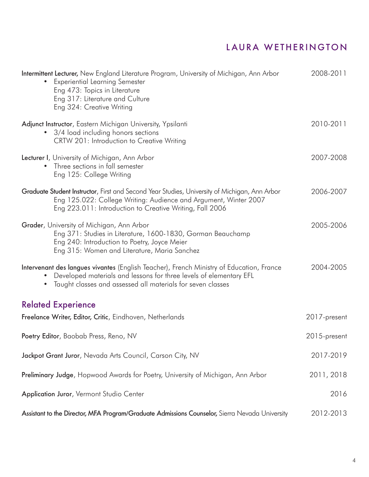| Intermittent Lecturer, New England Literature Program, University of Michigan, Ann Arbor<br><b>Experiential Learning Semester</b><br>Eng 473: Topics in Literature<br>Eng 317: Literature and Culture<br>Eng 324: Creative Writing | 2008-2011    |
|------------------------------------------------------------------------------------------------------------------------------------------------------------------------------------------------------------------------------------|--------------|
| Adjunct Instructor, Eastern Michigan University, Ypsilanti<br>3/4 load including honors sections<br>CRTW 201: Introduction to Creative Writing                                                                                     | 2010-2011    |
| Lecturer I, University of Michigan, Ann Arbor<br>Three sections in fall semester<br>Eng 125: College Writing                                                                                                                       | 2007-2008    |
| Graduate Student Instructor, First and Second Year Studies, University of Michigan, Ann Arbor<br>Eng 125.022: College Writing: Audience and Argument, Winter 2007<br>Eng 223.011: Introduction to Creative Writing, Fall 2006      | 2006-2007    |
| Grader, University of Michigan, Ann Arbor<br>Eng 371: Studies in Literature, 1600-1830, Gorman Beauchamp<br>Eng 240: Introduction to Poetry, Joyce Meier<br>Eng 315: Women and Literature, Maria Sanchez                           | 2005-2006    |
| Intervenant des langues vivantes (English Teacher), French Ministry of Education, France<br>Developed materials and lessons for three levels of elementary EFL<br>Taught classes and assessed all materials for seven classes      | 2004-2005    |
| <b>Related Experience</b>                                                                                                                                                                                                          |              |
| Freelance Writer, Editor, Critic, Eindhoven, Netherlands                                                                                                                                                                           | 2017-present |
| Poetry Editor, Baobab Press, Reno, NV                                                                                                                                                                                              | 2015-present |
| Jackpot Grant Juror, Nevada Arts Council, Carson City, NV                                                                                                                                                                          | 2017-2019    |
| Preliminary Judge, Hopwood Awards for Poetry, University of Michigan, Ann Arbor                                                                                                                                                    | 2011, 2018   |
| Application Juror, Vermont Studio Center                                                                                                                                                                                           | 2016         |
| Assistant to the Director, MFA Program/Graduate Admissions Counselor, Sierra Nevada University                                                                                                                                     | 2012-2013    |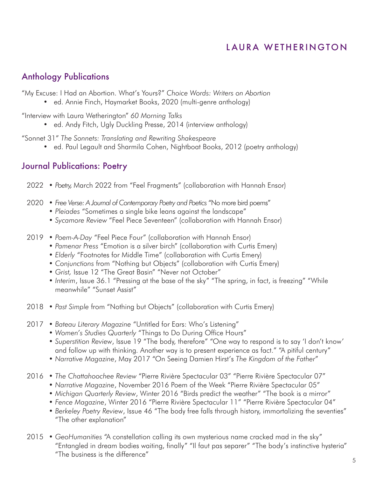#### Anthology Publications

"My Excuse: I Had an Abortion. What's Yours?" *Choice Words: Writers on Abortion*

• ed. Annie Finch, Haymarket Books, 2020 (multi-genre anthology)

"Interview with Laura Wetherington" *60 Morning Talks*

• ed. Andy Fitch, Ugly Duckling Presse, 2014 (interview anthology)

"Sonnet 31" *The Sonnets: Translating and Rewriting Shakespeare* 

• ed. Paul Legault and Sharmila Cohen, Nightboat Books, 2012 (poetry anthology)

#### Journal Publications: Poetry

- *Poetry,* March 2022 from "Feel Fragments" (collaboration with Hannah Ensor) 2022
- *Free Verse: A Journal of Contemporary Poetry and Poetics* "No more bird poems" 2020
	- *Pleiades* "Sometimes a single bike leans against the landscape"
	- *Sycamore Review* "Feel Piece Seventeen" (collaboration with Hannah Ensor)
- *Poem-A-Day* "Feel Piece Four" (collaboration with Hannah Ensor) 2019
	- *Pamenar Press* "Emotion is a silver birch" (collaboration with Curtis Emery)
	- *Elderly* "Footnotes for Middle Time" (collaboration with Curtis Emery)
	- *Conjunctions* from "Nothing but Objects" (collaboration with Curtis Emery)
	- *Grist,* Issue 12 "The Great Basin" "Never not October"
	- *Interim*, Issue 36.1 "Pressing at the base of the sky" "The spring, in fact, is freezing" "While meanwhile" "Sunset Assist"
- 2018 Past Simple from "Nothing but Objects" (collaboration with Curtis Emery)
- *Bateau Literary Magazine* "Untitled for Ears: Who's Listening" 2017
	- *Women's Studies Quarterly* "Things to Do During Office Hours"
	- *Superstition Review*, Issue 19 "The body, therefore" "One way to respond is to say 'I don't know' and follow up with thinking. Another way is to present experience as fact." "A pitiful century"
	- *Narrative Magazine*, May 2017 "On Seeing Damien Hirst's *The Kingdom of the Father*"
- *The Chattahoochee Review* "Pierre Rivière Spectacular 03" "Pierre Rivière Spectacular 07" 2016
	- *Narrative Magazine*, November 2016 Poem of the Week "Pierre Rivière Spectacular 05"
	- *Michigan Quarterly Review*, Winter 2016 "Birds predict the weather" "The book is a mirror"
	- *Fence Magazine*, Winter 2016 "Pierre Rivière Spectacular 11" "Pierre Rivière Spectacular 04"
	- *Berkeley Poetry Review*, Issue 46 "The body free falls through history, immortalizing the seventies" "The other explanation"
- *GeoHumanities* "A constellation calling its own mysterious name cracked mad in the sky" 2015 "Entangled in dream bodies waiting, finally" "Il faut pas separer" "The body's instinctive hysteria" "The business is the difference"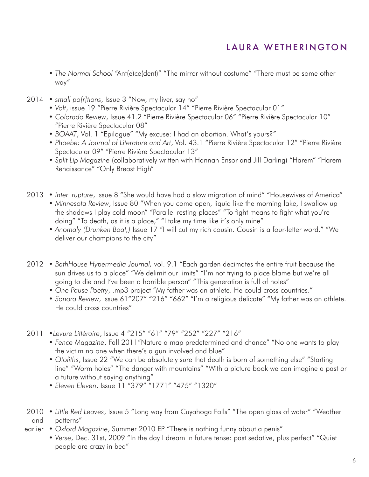- *The Normal School* "Ant(e)ce(dent)" "The mirror without costume" "There must be some other way"
- *small po[r]tions*, Issue 3 "Now, my liver, say no" 2014
	- *Volt*, issue 19 "Pierre Rivière Spectacular 14" "Pierre Rivière Spectacular 01"
	- *Colorado Review*, Issue 41.2 "Pierre Rivière Spectacular 06" "Pierre Rivière Spectacular 10" "Pierre Rivière Spectacular 08"
	- *BOAAT*, Vol. 1 "Epilogue" "My excuse: I had an abortion. What's yours?"
	- *Phoebe: A Journal of Literature and Art*, Vol. 43.1 "Pierre Rivière Spectacular 12" "Pierre Rivière Spectacular 09" "Pierre Rivière Spectacular 13"
	- *Split Lip Magazine* (collaboratively written with Hannah Ensor and Jill Darling) "Harem" "Harem Renaissance" "Only Breast High"
- *Inter|rupture*, Issue 8 "She would have had a slow migration of mind" "Housewives of America" 2013
	- *Minnesota Review*, Issue 80 "When you come open, liquid like the morning lake, I swallow up the shadows I play cold moon" "Parallel resting places" "To fight means to fight what you're doing" "To death, as it is a place," "I take my time like it's only mine"
	- *Anomaly (Drunken Boat,)* Issue 17 "I will cut my rich cousin. Cousin is a four-letter word." "We deliver our champions to the city"
- *BathHouse Hypermedia Journal,* vol. 9.1 "Each garden decimates the entire fruit because the 2012 sun drives us to a place" "We delimit our limits" "I'm not trying to place blame but we're all going to die and I've been a horrible person" "This generation is full of holes"
	- *One Pause Poetry*, .mp3 project "My father was an athlete. He could cross countries."
	- *Sonora Review*, Issue 61"207" "216" "662" "I'm a religious delicate" "My father was an athlete. He could cross countries"
- •*Levure Littéraire*, Issue 4 "215" "61" "79" "252" "227" "216" 2011
	- *Fence Magazine*, Fall 2011"Nature a map predetermined and chance" "No one wants to play the victim no one when there's a gun involved and blue"
	- *Otoliths*, Issue 22 "We can be absolutely sure that death is born of something else" "Starting line" "Worm holes" "The danger with mountains" "With a picture book we can imagine a past or a future without saying anything"
	- *Eleven Eleven*, Issue 11 "379" "1771" "475" "1320"
- *Little Red Leaves*, Issue 5 "Long way from Cuyahoga Falls" "The open glass of water" "Weather 2010 patterns" and
- *Oxford Magazine*, Summer 2010 EP "There is nothing funny about a penis" earlier
	- *Verse*, Dec. 31st, 2009 "In the day I dream in future tense: past sedative, plus perfect" "Quiet people are crazy in bed"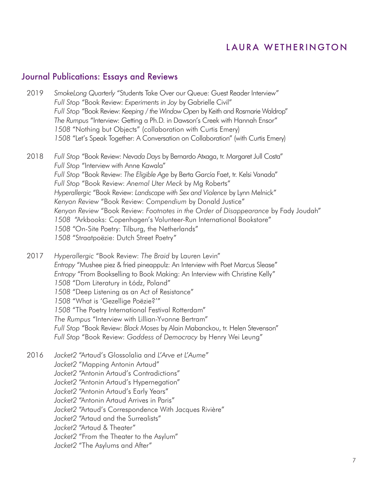#### Journal Publications: Essays and Reviews

- *SmokeLong Quarterly* "Students Take Over our Queue: Guest Reader Interview" *Full Stop* "Book Review: *Experiments in Joy* by Gabrielle Civil" *Full Stop* "Book Review: *Keeping / the Window Open* by Keith and Rosmarie Waldrop" *The Rumpus* "Interview: Getting a Ph.D. in Dawson's Creek with Hannah Ensor" *1508* "Nothing but Objects" (collaboration with Curtis Emery) *1508* "Let's Speak Together: A Conversation on Collaboration" (with Curtis Emery) 2019
- *Full Stop* "Book Review: *Nevada Days* by Bernardo Atxaga, tr. Margaret Jull Costa" *Full Stop* "Interview with Anne Kawala" *Full Stop* "Book Review: *The Eligible Age* by Berta García Faet, tr. Kelsi Vanada" *Full Stop* "Book Review: *Anemal Uter Meck* by Mg Roberts" *Hyperallergic* "Book Review: *Landscape with Sex and Violence* by Lynn Melnick" *Kenyon Review* "Book Review: *Compendium* by Donald Justice" *Kenyon Review* "Book Review: *Footnotes in the Order of Disappearance* by Fady Joudah" *1508* "Arkbooks: Copenhagen's Volunteer-Run International Bookstore" *1508* "On-Site Poetry: Tilburg, the Netherlands" *1508* "Straatpoëzie: Dutch Street Poetry" 2018

*Hyperallergic* "Book Review: *The Braid* by Lauren Levin" *Entropy* "Mushee piez & fried pineappulz: An Interview with Poet Marcus Slease" *Entropy* "From Bookselling to Book Making: An Interview with Christine Kelly" *1508* "Dom Literatury in Łódz, Poland" *1508* "Deep Listening as an Act of Resistance" *1508* "What is 'Gezellige Poëzie?'" *1508* "The Poetry International Festival Rotterdam" *The Rumpus* "Interview with Lillian-Yvonne Bertram" *Full Stop* "Book Review: *Black Moses* by Alain Mabanckou, tr. Helen Stevenson" *Full Stop* "Book Review: *Goddess of Democracy* by Henry Wei Leung" 2017

- *Jacket2* "Artaud's Glossolalia and *L'Arve et L'Aume*" *Jacket2* "Mapping Antonin Artaud" *Jacket2* "Antonin Artaud's Contradictions" *Jacket2* "Antonin Artaud's Hypernegation" *Jacket2* "Antonin Artaud's Early Years" *Jacket2* "Antonin Artaud Arrives in Paris" *Jacket2* "Artaud's Correspondence With Jacques Rivière" *Jacket2* "Artaud and the Surrealists" *Jacket2* "Artaud & Theater" *Jacket2* "From the Theater to the Asylum" 2016
	- *Jacket2* "The Asylums and After"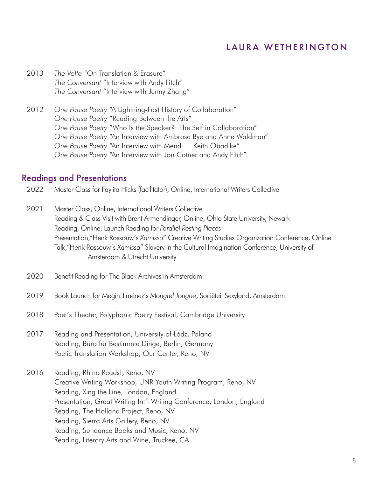- *The Volta* "On Translation & Erasure" *The Conversant* "Interview with Andy Fitch" *The Conversant* "Interview with Jenny Zhang" 2013
- *One Pause Poetry* "A Lightning-Fast History of Collaboration" *One Pause Poetry* "Reading Between the Arts" *One Pause Poetry* "Who Is the Speaker?: The Self in Collaboration" *One Pause Poetry* "An Interview with Ambrose Bye and Anne Waldman" One Pause Poetry "An Interview with Mendi + Keith Obadike" *One Pause Poetry* "An Interview with Jon Cotner and Andy Fitch" 2012

#### Readings and Presentations

- Master Class for Faylita Hicks (facilitator), Online, International Writers Collective 2022
- Master Class, Online, International Writers Collective Reading & Class Visit with Brent Armendinger, Online, Ohio State University, Newark Reading, Online, Launch Reading for *Parallel Resting Places* Presentation,"Henk Rossouw's *Xamissa*" Creative Writing Studies Organization Conference, Online Talk,"Henk Rossouw's *Xamissa*" Slavery in the Cultural Imagination Conference, University of Amsterdam & Utrecht University 2021
- Benefit Reading for The Black Archives in Amsterdam 2020
- Book Launch for Megin Jiménez's *Mongrel Tongue*, Sociëteit Sexyland, Amsterdam 2019
- Poet's Theater, Polyphonic Poetry Festival, Cambridge University 2018
- Reading and Presentation, University of Łódz, Poland Reading, Büro für Bestimmte Dinge, Berlin, Germany Poetic Translation Workshop, Our Center, Reno, NV 2017
- Reading, Rhino Reads!, Reno, NV Creative Writing Workshop, UNR Youth Writing Program, Reno, NV Reading, Xing the Line, London, England Presentation, Great Writing Int'l Writing Conference, London, England Reading, The Holland Project, Reno, NV Reading, Sierra Arts Gallery, Reno, NV Reading, Sundance Books and Music, Reno, NV Reading, Literary Arts and Wine, Truckee, CA 2016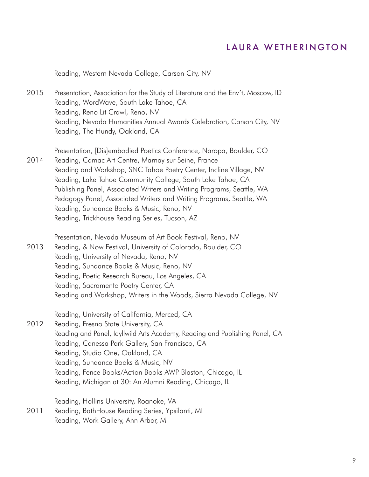Reading, Western Nevada College, Carson City, NV

Presentation, Association for the Study of Literature and the Env't, Moscow, ID Reading, WordWave, South Lake Tahoe, CA Reading, Reno Lit Crawl, Reno, NV Reading, Nevada Humanities Annual Awards Celebration, Carson City, NV Reading, The Hundy, Oakland, CA 2015

Presentation, [Dis]embodied Poetics Conference, Naropa, Boulder, CO Reading, Camac Art Centre, Marnay sur Seine, France Reading and Workshop, SNC Tahoe Poetry Center, Incline Village, NV Reading, Lake Tahoe Community College, South Lake Tahoe, CA Publishing Panel, Associated Writers and Writing Programs, Seattle, WA Pedagogy Panel, Associated Writers and Writing Programs, Seattle, WA Reading, Sundance Books & Music, Reno, NV Reading, Trickhouse Reading Series, Tucson, AZ 2014

Presentation, Nevada Museum of Art Book Festival, Reno, NV Reading, & Now Festival, University of Colorado, Boulder, CO Reading, University of Nevada, Reno, NV Reading, Sundance Books & Music, Reno, NV Reading, Poetic Research Bureau, Los Angeles, CA Reading, Sacramento Poetry Center, CA Reading and Workshop, Writers in the Woods, Sierra Nevada College, NV 2013

Reading, University of California, Merced, CA

Reading, Fresno State University, CA Reading and Panel, Idyllwild Arts Academy, Reading and Publishing Panel, CA Reading, Canessa Park Gallery, San Francisco, CA Reading, Studio One, Oakland, CA Reading, Sundance Books & Music, NV Reading, Fence Books/Action Books AWP Blaston, Chicago, IL Reading, Michigan at 30: An Alumni Reading, Chicago, IL 2012

Reading, Hollins University, Roanoke, VA

Reading, BathHouse Reading Series, Ypsilanti, MI Reading, Work Gallery, Ann Arbor, MI 2011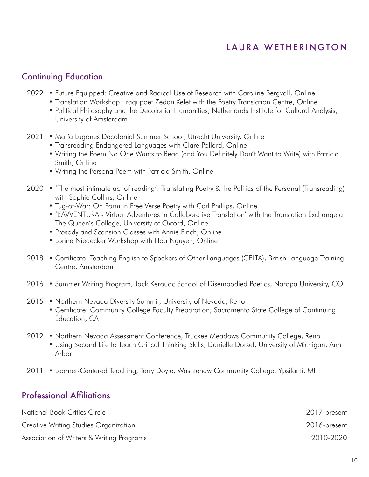#### Continuing Education

- 2022 Future Equipped: Creative and Radical Use of Research with Caroline Bergvall, Online
	- Translation Workshop: Iraqi poet Zêdan Xelef with the Poetry Translation Centre, Online
	- Political Philosophy and the Decolonial Humanities, Netherlands Institute for Cultural Analysis, University of Amsterdam
- 2021 María Lugones Decolonial Summer School, Utrecht University, Online
	- Transreading Endangered Languages with Clare Pollard, Online
	- Writing the Poem No One Wants to Read (and You Definitely Don't Want to Write) with Patricia Smith, Online
	- Writing the Persona Poem with Patricia Smith, Online
- 'The most intimate act of reading': Translating Poetry & the Politics of the Personal (Transreading) 2020 with Sophie Collins, Online
	- Tug-of-War: On Form in Free Verse Poetry with Carl Phillips, Online
	- 'L'AVVENTURA Virtual Adventures in Collaborative Translation' with the Translation Exchange at The Queen's College, University of Oxford, Online
	- Prosody and Scansion Classes with Annie Finch, Online
	- Lorine Niedecker Workshop with Hoa Nguyen, Online
- Certificate: Teaching English to Speakers of Other Languages (CELTA), British Language Training 2018 Centre, Amsterdam
- Summer Writing Program, Jack Kerouac School of Disembodied Poetics, Naropa University, CO 2016
- Northern Nevada Diversity Summit, University of Nevada, Reno 2015
	- Certificate: Community College Faculty Preparation, Sacramento State College of Continuing Education, CA
- Northern Nevada Assessment Conference, Truckee Meadows Community College, Reno 2012
	- Using Second Life to Teach Critical Thinking Skills, Danielle Dorset, University of Michigan, Ann Arbor
- Learner-Centered Teaching, Terry Doyle, Washtenaw Community College, Ypsilanti, MI 2011

#### Professional Affiliations

| National Book Critics Circle              | 2017-present |
|-------------------------------------------|--------------|
| Creative Writing Studies Organization     | 2016-present |
| Association of Writers & Writing Programs | 2010-2020    |